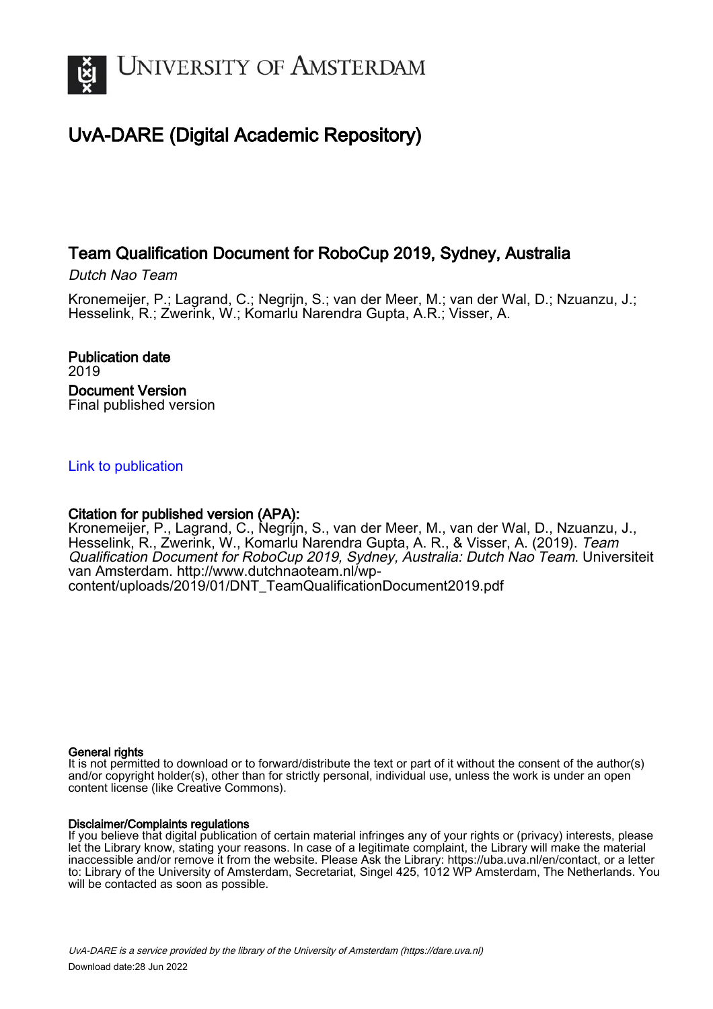

# UvA-DARE (Digital Academic Repository)

# Team Qualification Document for RoboCup 2019, Sydney, Australia

Dutch Nao Team

Kronemeijer, P.; Lagrand, C.; Negrijn, S.; van der Meer, M.; van der Wal, D.; Nzuanzu, J.; Hesselink, R.; Zwerink, W.; Komarlu Narendra Gupta, A.R.; Visser, A.

Publication date 2019 Document Version Final published version

# [Link to publication](https://dare.uva.nl/personal/pure/en/publications/team-qualification-document-for-robocup-2019-sydney-australia(98189b3b-ec4a-4826-a4f4-d3d065922bda).html)

# Citation for published version (APA):

Kronemeijer, P., Lagrand, C., Negrijn, S., van der Meer, M., van der Wal, D., Nzuanzu, J., Hesselink, R., Zwerink, W., Komarlu Narendra Gupta, A. R., & Visser, A. (2019). *Team* Qualification Document for RoboCup 2019, Sydney, Australia: Dutch Nao Team. Universiteit van Amsterdam. [http://www.dutchnaoteam.nl/wp](http://www.dutchnaoteam.nl/wp-content/uploads/2019/01/DNT_TeamQualificationDocument2019.pdf)[content/uploads/2019/01/DNT\\_TeamQualificationDocument2019.pdf](http://www.dutchnaoteam.nl/wp-content/uploads/2019/01/DNT_TeamQualificationDocument2019.pdf)

# General rights

It is not permitted to download or to forward/distribute the text or part of it without the consent of the author(s) and/or copyright holder(s), other than for strictly personal, individual use, unless the work is under an open content license (like Creative Commons).

# Disclaimer/Complaints regulations

If you believe that digital publication of certain material infringes any of your rights or (privacy) interests, please let the Library know, stating your reasons. In case of a legitimate complaint, the Library will make the material inaccessible and/or remove it from the website. Please Ask the Library: https://uba.uva.nl/en/contact, or a letter to: Library of the University of Amsterdam, Secretariat, Singel 425, 1012 WP Amsterdam, The Netherlands. You will be contacted as soon as possible.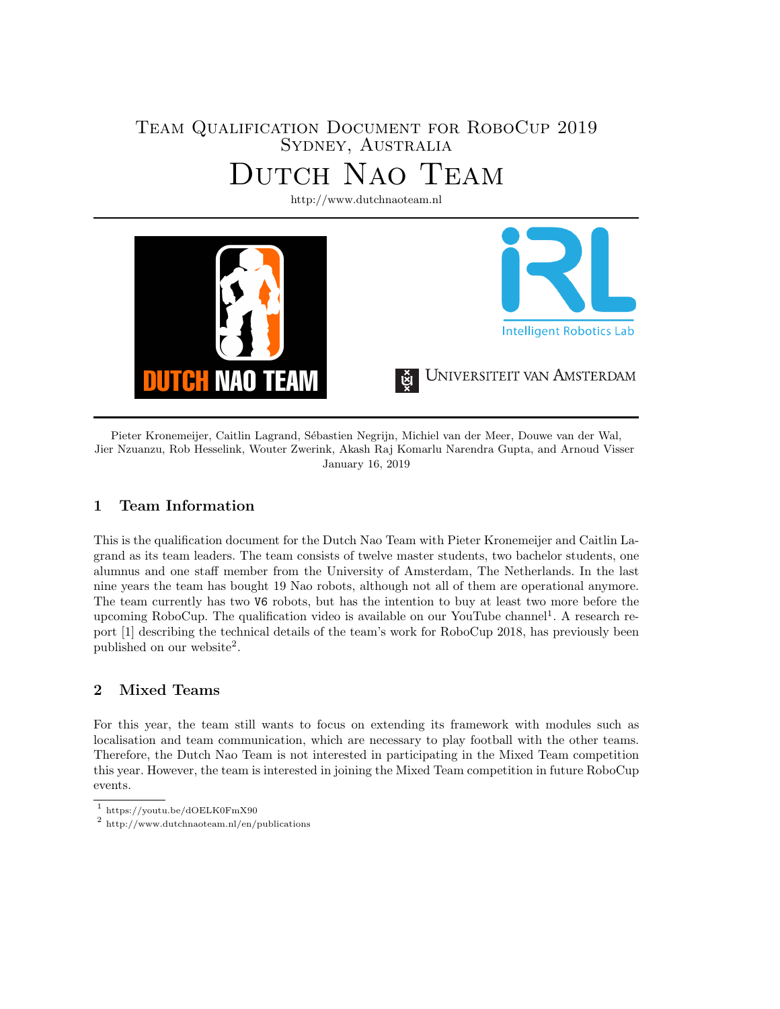# Team Qualification Document for RoboCup 2019 Sydney, Australia Dutch Nao Team

<http://www.dutchnaoteam.nl> **Intelligent Robotics Lab** UNIVERSITEIT VAN AMSTERDAM TAH NAO **TEAM** 

Pieter Kronemeijer, Caitlin Lagrand, Sébastien Negrijn, Michiel van der Meer, Douwe van der Wal, Jier Nzuanzu, Rob Hesselink, Wouter Zwerink, Akash Raj Komarlu Narendra Gupta, and Arnoud Visser January 16, 2019

# 1 Team Information

This is the qualification document for the Dutch Nao Team with Pieter Kronemeijer and Caitlin Lagrand as its team leaders. The team consists of twelve master students, two bachelor students, one alumnus and one staff member from the University of Amsterdam, The Netherlands. In the last nine years the team has bought 19 Nao robots, although not all of them are operational anymore. The team currently has two V6 robots, but has the intention to buy at least two more before the upcoming RoboCup. The qualification video is available on our YouTube channel<sup>[1](#page-1-0)</sup>. A research report [\[1\]](#page-5-0) describing the technical details of the team's work for RoboCup 2018, has previously been published on our website<sup>[2](#page-1-1)</sup>.

# 2 Mixed Teams

For this year, the team still wants to focus on extending its framework with modules such as localisation and team communication, which are necessary to play football with the other teams. Therefore, the Dutch Nao Team is not interested in participating in the Mixed Team competition this year. However, the team is interested in joining the Mixed Team competition in future RoboCup events.

<span id="page-1-0"></span><sup>1</sup> <https://youtu.be/dOELK0FmX90>

<span id="page-1-1"></span><sup>2</sup> <http://www.dutchnaoteam.nl/en/publications>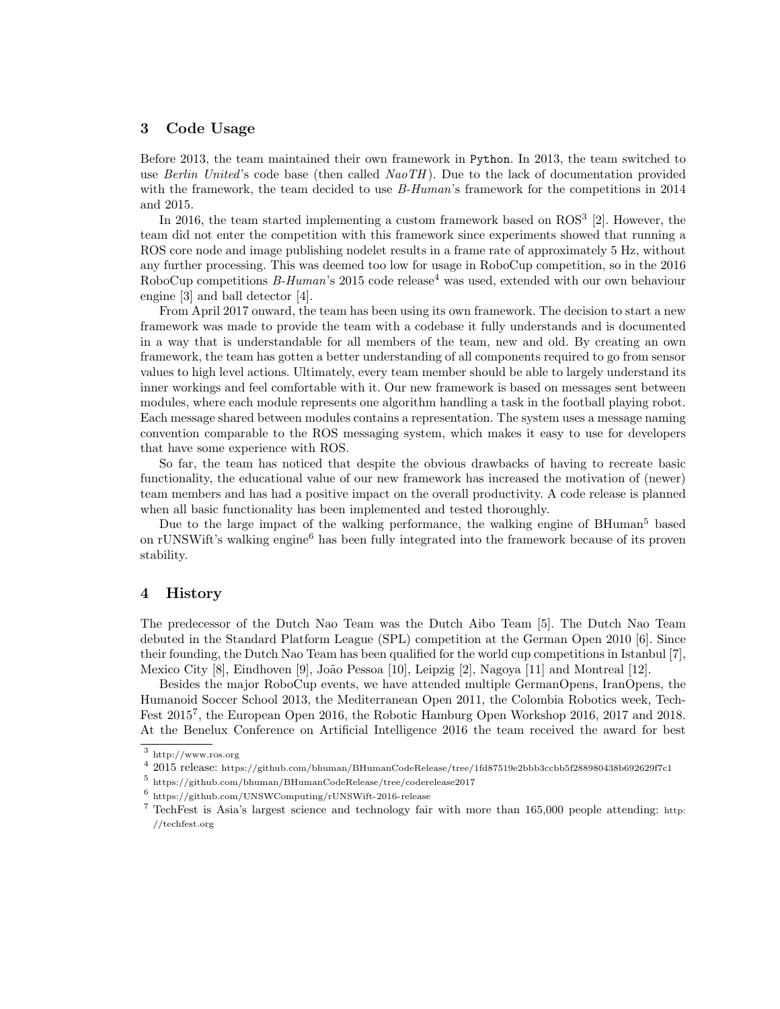## 3 Code Usage

Before 2013, the team maintained their own framework in Python. In 2013, the team switched to use Berlin United's code base (then called  $NaoTH$ ). Due to the lack of documentation provided with the framework, the team decided to use *B-Human's* framework for the competitions in 2014 and 2015.

In 2016, the team started implementing a custom framework based on ROS<sup>[3](#page-2-0)</sup> [\[2\]](#page-5-1). However, the team did not enter the competition with this framework since experiments showed that running a ROS core node and image publishing nodelet results in a frame rate of approximately 5 Hz, without any further processing. This was deemed too low for usage in RoboCup competition, so in the 2016 RoboCup competitions  $B$ -Human's 2015 code release<sup>[4](#page-2-1)</sup> was used, extended with our own behaviour engine [\[3\]](#page-5-2) and ball detector [\[4\]](#page-5-3).

From April 2017 onward, the team has been using its own framework. The decision to start a new framework was made to provide the team with a codebase it fully understands and is documented in a way that is understandable for all members of the team, new and old. By creating an own framework, the team has gotten a better understanding of all components required to go from sensor values to high level actions. Ultimately, every team member should be able to largely understand its inner workings and feel comfortable with it. Our new framework is based on messages sent between modules, where each module represents one algorithm handling a task in the football playing robot. Each message shared between modules contains a representation. The system uses a message naming convention comparable to the ROS messaging system, which makes it easy to use for developers that have some experience with ROS.

So far, the team has noticed that despite the obvious drawbacks of having to recreate basic functionality, the educational value of our new framework has increased the motivation of (newer) team members and has had a positive impact on the overall productivity. A code release is planned when all basic functionality has been implemented and tested thoroughly.

Due to the large impact of the walking performance, the walking engine of BHuman<sup>[5](#page-2-2)</sup> based on rUNSWift's walking engine<sup>[6](#page-2-3)</sup> has been fully integrated into the framework because of its proven stability.

## 4 History

The predecessor of the Dutch Nao Team was the Dutch Aibo Team [\[5\]](#page-5-4). The Dutch Nao Team debuted in the Standard Platform League (SPL) competition at the German Open 2010 [\[6\]](#page-5-5). Since their founding, the Dutch Nao Team has been qualified for the world cup competitions in Istanbul [\[7\]](#page-5-6), Mexico City [\[8\]](#page-5-7), Eindhoven [\[9\]](#page-5-8), João Pessoa [\[10\]](#page-5-9), Leipzig [\[2\]](#page-5-1), Nagoya [\[11\]](#page-6-0) and Montreal [\[12\]](#page-6-1).

Besides the major RoboCup events, we have attended multiple GermanOpens, IranOpens, the Humanoid Soccer School 2013, the Mediterranean Open 2011, the Colombia Robotics week, Tech-Fest 2015<sup>[7](#page-2-4)</sup>, the European Open 2016, the Robotic Hamburg Open Workshop 2016, 2017 and 2018. At the Benelux Conference on Artificial Intelligence 2016 the team received the award for best

<span id="page-2-0"></span><sup>3</sup> <http://www.ros.org>

<span id="page-2-1"></span> $^4$  2015 release: <https://github.com/bhuman/BHumanCodeRelease/tree/1fd87519e2bbb3ccbb5f288980438b692629f7c1>

<span id="page-2-2"></span><sup>5</sup> <https://github.com/bhuman/BHumanCodeRelease/tree/coderelease2017>

<span id="page-2-3"></span><sup>6</sup> <https://github.com/UNSWComputing/rUNSWift-2016-release>

<span id="page-2-4"></span><sup>7</sup> TechFest is Asia's largest science and technology fair with more than 165,000 people attending: [http:](http://techfest.org) [//techfest.org](http://techfest.org)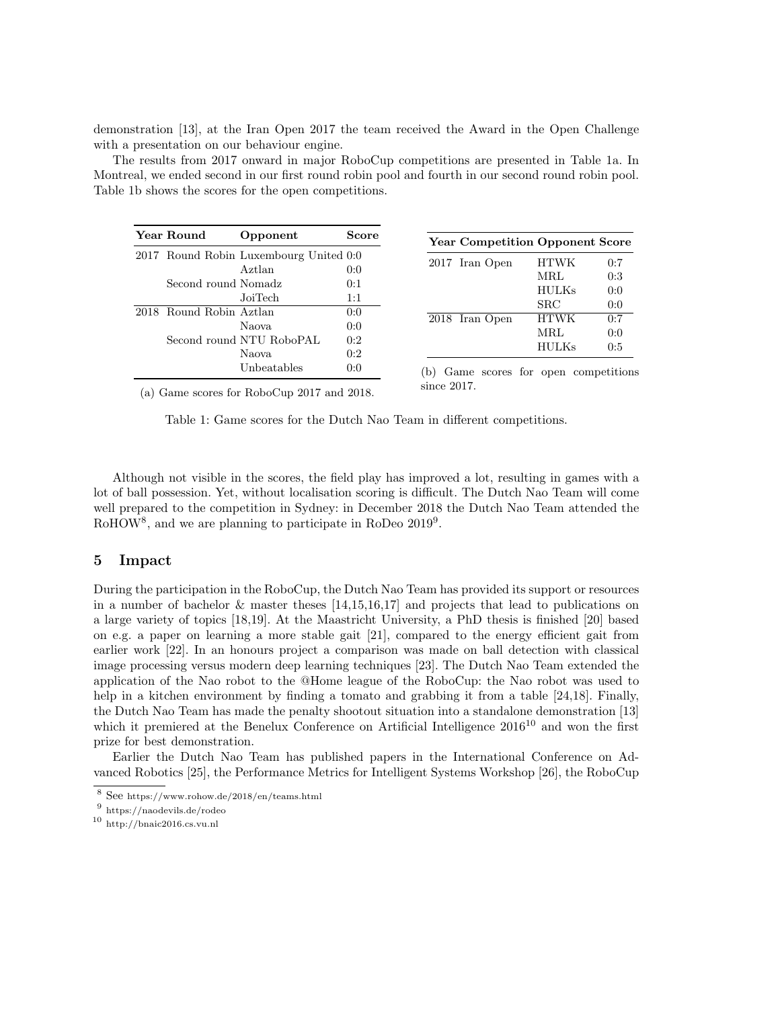demonstration [\[13\]](#page-6-2), at the Iran Open 2017 the team received the Award in the Open Challenge with a presentation on our behaviour engine.

The results from 2017 onward in major RoboCup competitions are presented in Table [1a.](#page-3-0) In Montreal, we ended second in our first round robin pool and fourth in our second round robin pool. Table [1b](#page-3-0) shows the scores for the open competitions.

<span id="page-3-0"></span>

| Year Round                             | Opponent                 | Score |
|----------------------------------------|--------------------------|-------|
| 2017 Round Robin Luxembourg United 0:0 |                          |       |
|                                        | Aztlan                   | 0:0   |
| Second round Nomadz                    |                          | 0:1   |
|                                        | JoiTech                  | 1:1   |
| 2018 Round Robin Aztlan                |                          | 0:0   |
|                                        | Naova                    | 0:0   |
|                                        | Second round NTU RoboPAL | 0:2   |
|                                        | Naova                    | 0:2   |
|                                        | Unbeatables              | 0:0   |
|                                        |                          |       |

| <b>Year Competition Opponent Score</b> |              |     |
|----------------------------------------|--------------|-----|
| 2017 Iran Open                         | <b>HTWK</b>  | 0:7 |
|                                        | MRL          | 0:3 |
|                                        | <b>HULKs</b> | 0:0 |
|                                        | SRC          | 0:0 |
| 2018 Iran Open                         | <b>HTWK</b>  | 0:7 |
|                                        | MRL          | 0:0 |
|                                        | <b>HULKs</b> | 0:5 |

(a) Game scores for RoboCup 2017 and 2018.

(b) Game scores for open competitions since 2017.

Table 1: Game scores for the Dutch Nao Team in different competitions.

Although not visible in the scores, the field play has improved a lot, resulting in games with a lot of ball possession. Yet, without localisation scoring is difficult. The Dutch Nao Team will come well prepared to the competition in Sydney: in December 2018 the Dutch Nao Team attended the RoHOW<sup>[8](#page-3-1)</sup>, and we are planning to participate in RoDeo 201[9](#page-3-2)<sup>9</sup>.

#### 5 Impact

During the participation in the RoboCup, the Dutch Nao Team has provided its support or resources in a number of bachelor & master theses [\[14,](#page-6-3)[15,](#page-6-4)[16,](#page-6-5)[17\]](#page-6-6) and projects that lead to publications on a large variety of topics [\[18](#page-6-7)[,19\]](#page-6-8). At the Maastricht University, a PhD thesis is finished [\[20\]](#page-6-9) based on e.g. a paper on learning a more stable gait [\[21\]](#page-6-10), compared to the energy efficient gait from earlier work [\[22\]](#page-6-11). In an honours project a comparison was made on ball detection with classical image processing versus modern deep learning techniques [\[23\]](#page-6-12). The Dutch Nao Team extended the application of the Nao robot to the @Home league of the RoboCup: the Nao robot was used to help in a kitchen environment by finding a tomato and grabbing it from a table [\[24,](#page-6-13)[18\]](#page-6-7). Finally, the Dutch Nao Team has made the penalty shootout situation into a standalone demonstration [\[13\]](#page-6-2) which it premiered at the Benelux Conference on Artificial Intelligence  $2016^{10}$  $2016^{10}$  $2016^{10}$  and won the first prize for best demonstration.

Earlier the Dutch Nao Team has published papers in the International Conference on Advanced Robotics [\[25\]](#page-6-14), the Performance Metrics for Intelligent Systems Workshop [\[26\]](#page-6-15), the RoboCup

<span id="page-3-1"></span> $^8$  See <https://www.rohow.de/2018/en/teams.html>

<span id="page-3-3"></span><span id="page-3-2"></span><sup>9</sup> <https://naodevils.de/rodeo>

 $^{10}\,$ <http://bnaic2016.cs.vu.nl>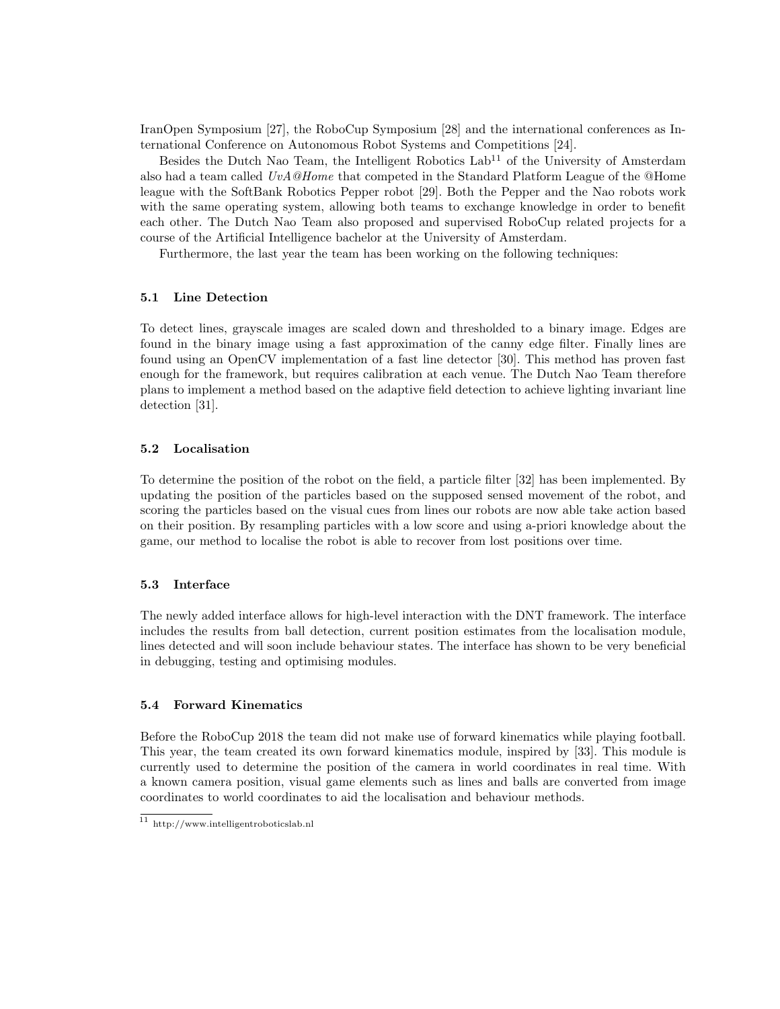IranOpen Symposium [\[27\]](#page-6-16), the RoboCup Symposium [\[28\]](#page-6-17) and the international conferences as International Conference on Autonomous Robot Systems and Competitions [\[24\]](#page-6-13).

Besides the Dutch Nao Team, the Intelligent Robotics  $Lab<sup>11</sup>$  $Lab<sup>11</sup>$  $Lab<sup>11</sup>$  of the University of Amsterdam also had a team called  $UvA@Home$  that competed in the Standard Platform League of the @Home league with the SoftBank Robotics Pepper robot [\[29\]](#page-6-18). Both the Pepper and the Nao robots work with the same operating system, allowing both teams to exchange knowledge in order to benefit each other. The Dutch Nao Team also proposed and supervised RoboCup related projects for a course of the Artificial Intelligence bachelor at the University of Amsterdam.

Furthermore, the last year the team has been working on the following techniques:

#### 5.1 Line Detection

To detect lines, grayscale images are scaled down and thresholded to a binary image. Edges are found in the binary image using a fast approximation of the canny edge filter. Finally lines are found using an OpenCV implementation of a fast line detector [\[30\]](#page-6-19). This method has proven fast enough for the framework, but requires calibration at each venue. The Dutch Nao Team therefore plans to implement a method based on the adaptive field detection to achieve lighting invariant line detection [\[31\]](#page-6-20).

#### 5.2 Localisation

To determine the position of the robot on the field, a particle filter [\[32\]](#page-6-21) has been implemented. By updating the position of the particles based on the supposed sensed movement of the robot, and scoring the particles based on the visual cues from lines our robots are now able take action based on their position. By resampling particles with a low score and using a-priori knowledge about the game, our method to localise the robot is able to recover from lost positions over time.

#### 5.3 Interface

The newly added interface allows for high-level interaction with the DNT framework. The interface includes the results from ball detection, current position estimates from the localisation module, lines detected and will soon include behaviour states. The interface has shown to be very beneficial in debugging, testing and optimising modules.

#### 5.4 Forward Kinematics

Before the RoboCup 2018 the team did not make use of forward kinematics while playing football. This year, the team created its own forward kinematics module, inspired by [\[33\]](#page-6-22). This module is currently used to determine the position of the camera in world coordinates in real time. With a known camera position, visual game elements such as lines and balls are converted from image coordinates to world coordinates to aid the localisation and behaviour methods.

<span id="page-4-0"></span> $^{11}\,$ <http://www.intelligentroboticslab.nl>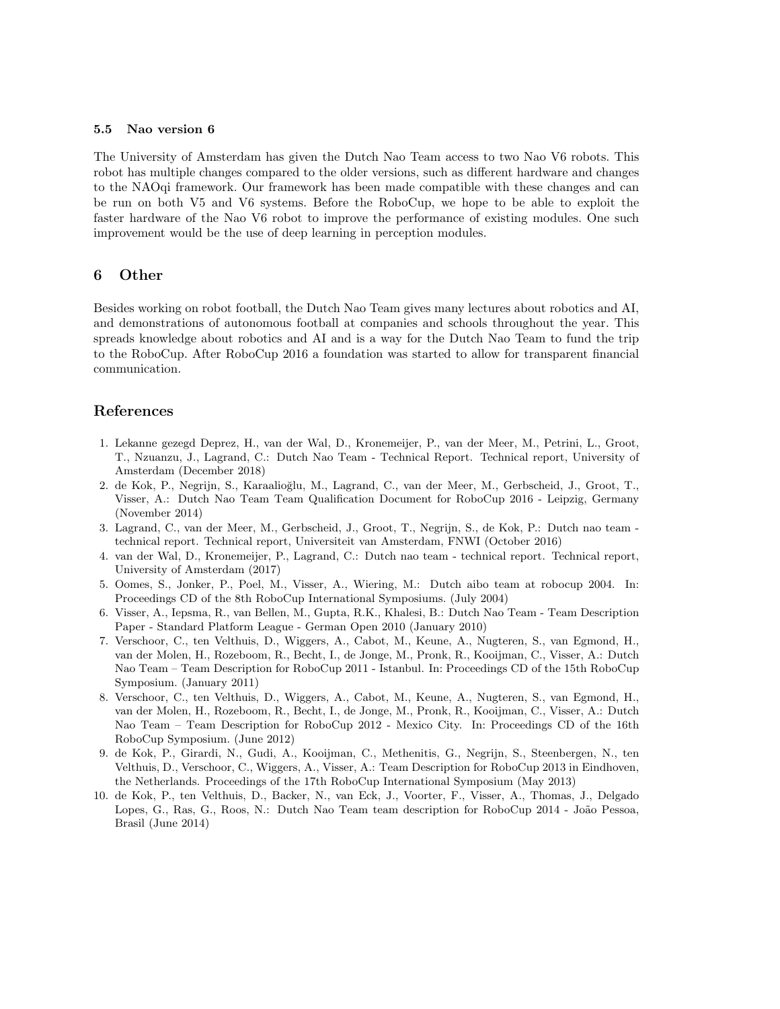#### 5.5 Nao version 6

The University of Amsterdam has given the Dutch Nao Team access to two Nao V6 robots. This robot has multiple changes compared to the older versions, such as different hardware and changes to the NAOqi framework. Our framework has been made compatible with these changes and can be run on both V5 and V6 systems. Before the RoboCup, we hope to be able to exploit the faster hardware of the Nao V6 robot to improve the performance of existing modules. One such improvement would be the use of deep learning in perception modules.

### 6 Other

Besides working on robot football, the Dutch Nao Team gives many lectures about robotics and AI, and demonstrations of autonomous football at companies and schools throughout the year. This spreads knowledge about robotics and AI and is a way for the Dutch Nao Team to fund the trip to the RoboCup. After RoboCup 2016 a foundation was started to allow for transparent financial communication.

### References

- <span id="page-5-0"></span>1. Lekanne gezegd Deprez, H., van der Wal, D., Kronemeijer, P., van der Meer, M., Petrini, L., Groot, T., Nzuanzu, J., Lagrand, C.: Dutch Nao Team - Technical Report. Technical report, University of Amsterdam (December 2018)
- <span id="page-5-1"></span>2. de Kok, P., Negrijn, S., Karaalioğlu, M., Lagrand, C., van der Meer, M., Gerbscheid, J., Groot, T., Visser, A.: Dutch Nao Team Team Qualification Document for RoboCup 2016 - Leipzig, Germany (November 2014)
- <span id="page-5-2"></span>3. Lagrand, C., van der Meer, M., Gerbscheid, J., Groot, T., Negrijn, S., de Kok, P.: Dutch nao team technical report. Technical report, Universiteit van Amsterdam, FNWI (October 2016)
- <span id="page-5-3"></span>4. van der Wal, D., Kronemeijer, P., Lagrand, C.: Dutch nao team - technical report. Technical report, University of Amsterdam (2017)
- <span id="page-5-4"></span>5. Oomes, S., Jonker, P., Poel, M., Visser, A., Wiering, M.: Dutch aibo team at robocup 2004. In: Proceedings CD of the 8th RoboCup International Symposiums. (July 2004)
- <span id="page-5-5"></span>6. Visser, A., Iepsma, R., van Bellen, M., Gupta, R.K., Khalesi, B.: Dutch Nao Team - Team Description Paper - Standard Platform League - German Open 2010 (January 2010)
- <span id="page-5-6"></span>7. Verschoor, C., ten Velthuis, D., Wiggers, A., Cabot, M., Keune, A., Nugteren, S., van Egmond, H., van der Molen, H., Rozeboom, R., Becht, I., de Jonge, M., Pronk, R., Kooijman, C., Visser, A.: Dutch Nao Team – Team Description for RoboCup 2011 - Istanbul. In: Proceedings CD of the 15th RoboCup Symposium. (January 2011)
- <span id="page-5-7"></span>8. Verschoor, C., ten Velthuis, D., Wiggers, A., Cabot, M., Keune, A., Nugteren, S., van Egmond, H., van der Molen, H., Rozeboom, R., Becht, I., de Jonge, M., Pronk, R., Kooijman, C., Visser, A.: Dutch Nao Team – Team Description for RoboCup 2012 - Mexico City. In: Proceedings CD of the 16th RoboCup Symposium. (June 2012)
- <span id="page-5-8"></span>9. de Kok, P., Girardi, N., Gudi, A., Kooijman, C., Methenitis, G., Negrijn, S., Steenbergen, N., ten Velthuis, D., Verschoor, C., Wiggers, A., Visser, A.: Team Description for RoboCup 2013 in Eindhoven, the Netherlands. Proceedings of the 17th RoboCup International Symposium (May 2013)
- <span id="page-5-9"></span>10. de Kok, P., ten Velthuis, D., Backer, N., van Eck, J., Voorter, F., Visser, A., Thomas, J., Delgado Lopes, G., Ras, G., Roos, N.: Dutch Nao Team team description for RoboCup 2014 - João Pessoa, Brasil (June 2014)